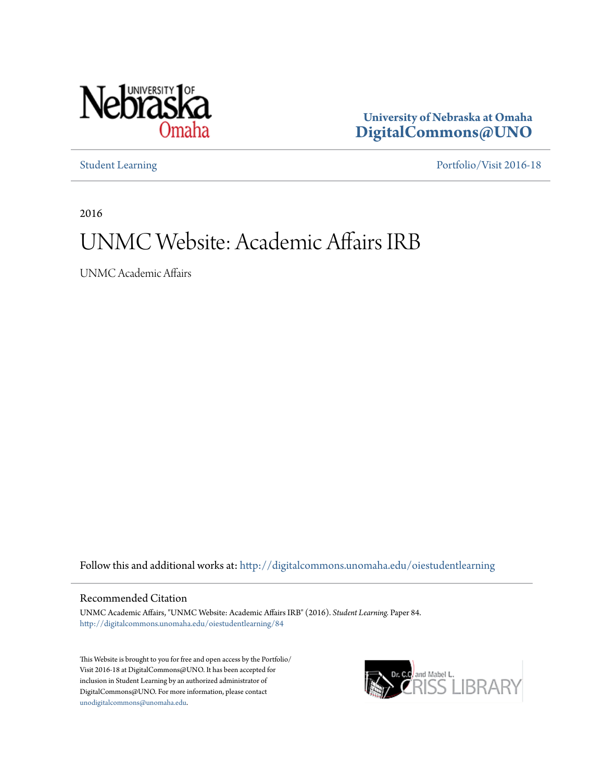

**University of Nebraska at Omaha [DigitalCommons@UNO](http://digitalcommons.unomaha.edu?utm_source=digitalcommons.unomaha.edu%2Foiestudentlearning%2F84&utm_medium=PDF&utm_campaign=PDFCoverPages)**

[Student Learning](http://digitalcommons.unomaha.edu/oiestudentlearning?utm_source=digitalcommons.unomaha.edu%2Foiestudentlearning%2F84&utm_medium=PDF&utm_campaign=PDFCoverPages) [Portfolio/Visit 2016-18](http://digitalcommons.unomaha.edu/oieportfolio?utm_source=digitalcommons.unomaha.edu%2Foiestudentlearning%2F84&utm_medium=PDF&utm_campaign=PDFCoverPages)

2016

# UNMC Website: Academic Affairs IRB

UNMC Academic Affairs

Follow this and additional works at: [http://digitalcommons.unomaha.edu/oiestudentlearning](http://digitalcommons.unomaha.edu/oiestudentlearning?utm_source=digitalcommons.unomaha.edu%2Foiestudentlearning%2F84&utm_medium=PDF&utm_campaign=PDFCoverPages)

# Recommended Citation

UNMC Academic Affairs, "UNMC Website: Academic Affairs IRB" (2016). *Student Learning.* Paper 84. [http://digitalcommons.unomaha.edu/oiestudentlearning/84](http://digitalcommons.unomaha.edu/oiestudentlearning/84?utm_source=digitalcommons.unomaha.edu%2Foiestudentlearning%2F84&utm_medium=PDF&utm_campaign=PDFCoverPages)

This Website is brought to you for free and open access by the Portfolio/ Visit 2016-18 at DigitalCommons@UNO. It has been accepted for inclusion in Student Learning by an authorized administrator of DigitalCommons@UNO. For more information, please contact [unodigitalcommons@unomaha.edu](mailto:unodigitalcommons@unomaha.edu).

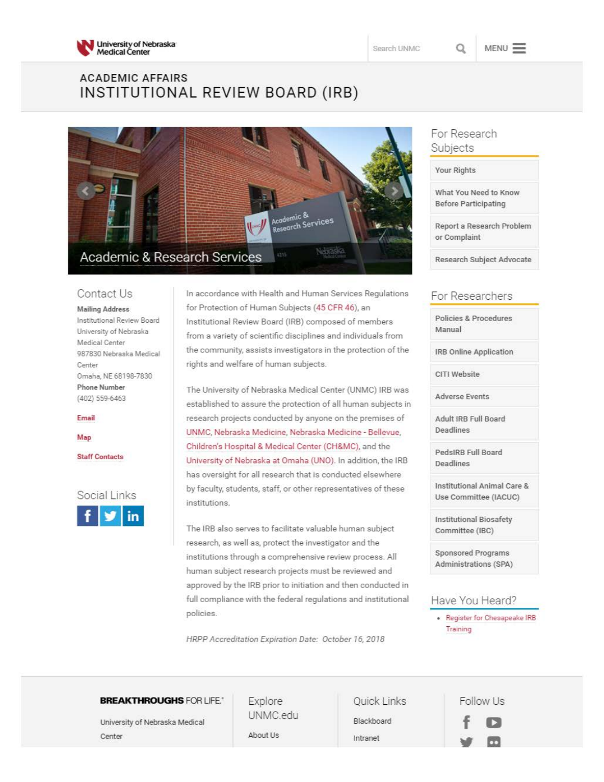

**MENU** 

# **ACADEM IC AFFAIRS**  INSTITUTIONAL REVIEW BOARD (IRB)



## Contact Us

**Mailing Address Institutional Review Board**  University of Nebraska Medical *Center*  987830 Nebraska Medical **Center**  Omaha, NE 68198-7830 Phone Number (402) 559-6463

#### **Email**

**Map** 

Staff Contacts

Social Links



In accordance with Health and Human Services Regulations for Protection of Human Subjects (45 CFR 46), an Institutional Review Board (IRB) composed of members from a variety of scientific disciplines and individuals from the community, assists investigators in the protection of the rights and welfare of human subjects.

The University of Nebraska Medical Center (UNMC) IRB was established to assure the protection of all human subjects in research projects conducted by anyone on the premises of UNMC, Nebraska Medicine, Nebraska Medicine - Bellevue, Children's Hospital & Medical Center (CH&MC), and the University of Nebraska at Omaha (UNO). In addition, the IRB has oversight for all research that is conducted elsewhere by faculty, students, staff, or other representatives of these institutions.

The IRB also serves to facilitate valuable human subject research, as well as, protect the investigator and the institutions through a comprehensive review process. All human subject research projects must be reviewed and approved by the IRB prior to initiation and then conducted in full compliance with the federal regulations and institutional policies.

*HRPPAccreditation Expiration Date: October 16, 2018* 

# For Research Subjects

Your Rights

What You Need to Know Before Participating

Report a Research Problem or Complaint

Research Subject Advocate

# For Researchers

Policies & Procedures Manual

IRB Online Application

CITI Website

Adverse Events

Adult IRB Full Board Deadlines

PedslRB Full Board Deadlines

Institutional Animal Care & Use Committee (IACUC)

Institutional Biosafety Committee (IBC)

Sponsored Programs Administrations (SPA)

## Have You Heard?

Register for Chesapeake IRB **Training** 

## **BREAKTHROUGHS** FOR LIFE. Explore Quick Links

University of Nebraska Medical Center **About Us** About Us Intranet

UNMC.edu Blackboard

Follow Us **f D**  ..,, **m**